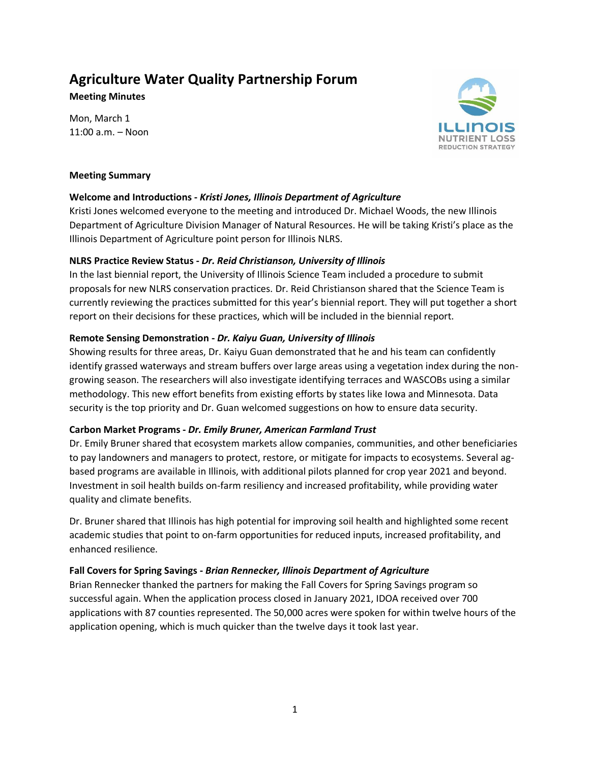# **Agriculture Water Quality Partnership Forum**

**Meeting Minutes**

Mon, March 1 11:00 a.m. – Noon



#### **Meeting Summary**

# **Welcome and Introductions -** *Kristi Jones, Illinois Department of Agriculture*

Kristi Jones welcomed everyone to the meeting and introduced Dr. Michael Woods, the new Illinois Department of Agriculture Division Manager of Natural Resources. He will be taking Kristi's place as the Illinois Department of Agriculture point person for Illinois NLRS.

# **NLRS Practice Review Status -** *Dr. Reid Christianson, University of Illinois*

In the last biennial report, the University of Illinois Science Team included a procedure to submit proposals for new NLRS conservation practices. Dr. Reid Christianson shared that the Science Team is currently reviewing the practices submitted for this year's biennial report. They will put together a short report on their decisions for these practices, which will be included in the biennial report.

# **Remote Sensing Demonstration -** *Dr. Kaiyu Guan, University of Illinois*

Showing results for three areas, Dr. Kaiyu Guan demonstrated that he and his team can confidently identify grassed waterways and stream buffers over large areas using a vegetation index during the nongrowing season. The researchers will also investigate identifying terraces and WASCOBs using a similar methodology. This new effort benefits from existing efforts by states like Iowa and Minnesota. Data security is the top priority and Dr. Guan welcomed suggestions on how to ensure data security.

#### **Carbon Market Programs -** *Dr. Emily Bruner, American Farmland Trust*

Dr. Emily Bruner shared that ecosystem markets allow companies, communities, and other beneficiaries to pay landowners and managers to protect, restore, or mitigate for impacts to ecosystems. Several agbased programs are available in Illinois, with additional pilots planned for crop year 2021 and beyond. Investment in soil health builds on-farm resiliency and increased profitability, while providing water quality and climate benefits.

Dr. Bruner shared that Illinois has high potential for improving soil health and highlighted some recent academic studies that point to on-farm opportunities for reduced inputs, increased profitability, and enhanced resilience.

# **Fall Covers for Spring Savings -** *Brian Rennecker, Illinois Department of Agriculture*

Brian Rennecker thanked the partners for making the Fall Covers for Spring Savings program so successful again. When the application process closed in January 2021, IDOA received over 700 applications with 87 counties represented. The 50,000 acres were spoken for within twelve hours of the application opening, which is much quicker than the twelve days it took last year.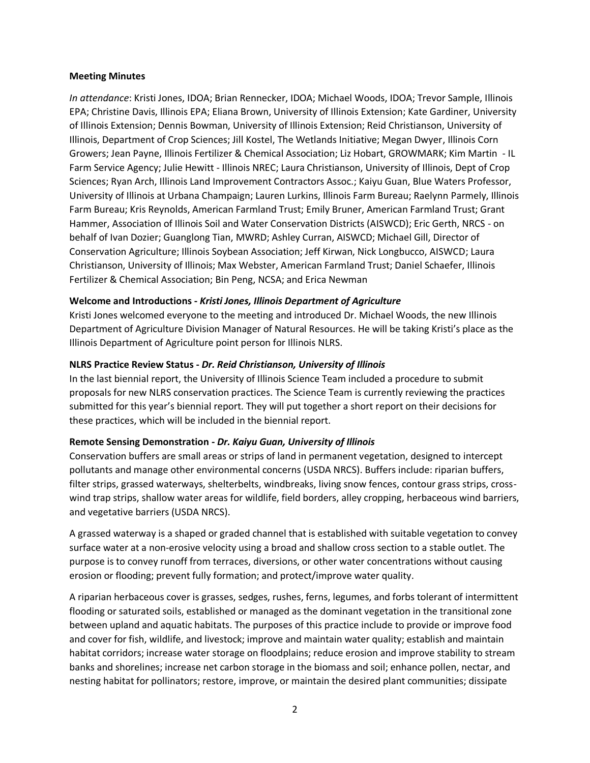#### **Meeting Minutes**

*In attendance*: Kristi Jones, IDOA; Brian Rennecker, IDOA; Michael Woods, IDOA; Trevor Sample, Illinois EPA; Christine Davis, Illinois EPA; Eliana Brown, University of Illinois Extension; Kate Gardiner, University of Illinois Extension; Dennis Bowman, University of Illinois Extension; Reid Christianson, University of Illinois, Department of Crop Sciences; Jill Kostel, The Wetlands Initiative; Megan Dwyer, Illinois Corn Growers; Jean Payne, Illinois Fertilizer & Chemical Association; Liz Hobart, GROWMARK; Kim Martin - IL Farm Service Agency; Julie Hewitt - Illinois NREC; Laura Christianson, University of Illinois, Dept of Crop Sciences; Ryan Arch, Illinois Land Improvement Contractors Assoc.; Kaiyu Guan, Blue Waters Professor, University of Illinois at Urbana Champaign; Lauren Lurkins, Illinois Farm Bureau; Raelynn Parmely, Illinois Farm Bureau; Kris Reynolds, American Farmland Trust; Emily Bruner, American Farmland Trust; Grant Hammer, Association of Illinois Soil and Water Conservation Districts (AISWCD); Eric Gerth, NRCS - on behalf of Ivan Dozier; Guanglong Tian, MWRD; Ashley Curran, AISWCD; Michael Gill, Director of Conservation Agriculture; Illinois Soybean Association; Jeff Kirwan, Nick Longbucco, AISWCD; Laura Christianson, University of Illinois; Max Webster, American Farmland Trust; Daniel Schaefer, Illinois Fertilizer & Chemical Association; Bin Peng, NCSA; and Erica Newman

#### **Welcome and Introductions -** *Kristi Jones, Illinois Department of Agriculture*

Kristi Jones welcomed everyone to the meeting and introduced Dr. Michael Woods, the new Illinois Department of Agriculture Division Manager of Natural Resources. He will be taking Kristi's place as the Illinois Department of Agriculture point person for Illinois NLRS.

#### **NLRS Practice Review Status -** *Dr. Reid Christianson, University of Illinois*

In the last biennial report, the University of Illinois Science Team included a procedure to submit proposals for new NLRS conservation practices. The Science Team is currently reviewing the practices submitted for this year's biennial report. They will put together a short report on their decisions for these practices, which will be included in the biennial report.

#### **Remote Sensing Demonstration -** *Dr. Kaiyu Guan, University of Illinois*

Conservation buffers are small areas or strips of land in permanent vegetation, designed to intercept pollutants and manage other environmental concerns (USDA NRCS). Buffers include: riparian buffers, filter strips, grassed waterways, shelterbelts, windbreaks, living snow fences, contour grass strips, crosswind trap strips, shallow water areas for wildlife, field borders, alley cropping, herbaceous wind barriers, and vegetative barriers (USDA NRCS).

A grassed waterway is a shaped or graded channel that is established with suitable vegetation to convey surface water at a non-erosive velocity using a broad and shallow cross section to a stable outlet. The purpose is to convey runoff from terraces, diversions, or other water concentrations without causing erosion or flooding; prevent fully formation; and protect/improve water quality.

A riparian herbaceous cover is grasses, sedges, rushes, ferns, legumes, and forbs tolerant of intermittent flooding or saturated soils, established or managed as the dominant vegetation in the transitional zone between upland and aquatic habitats. The purposes of this practice include to provide or improve food and cover for fish, wildlife, and livestock; improve and maintain water quality; establish and maintain habitat corridors; increase water storage on floodplains; reduce erosion and improve stability to stream banks and shorelines; increase net carbon storage in the biomass and soil; enhance pollen, nectar, and nesting habitat for pollinators; restore, improve, or maintain the desired plant communities; dissipate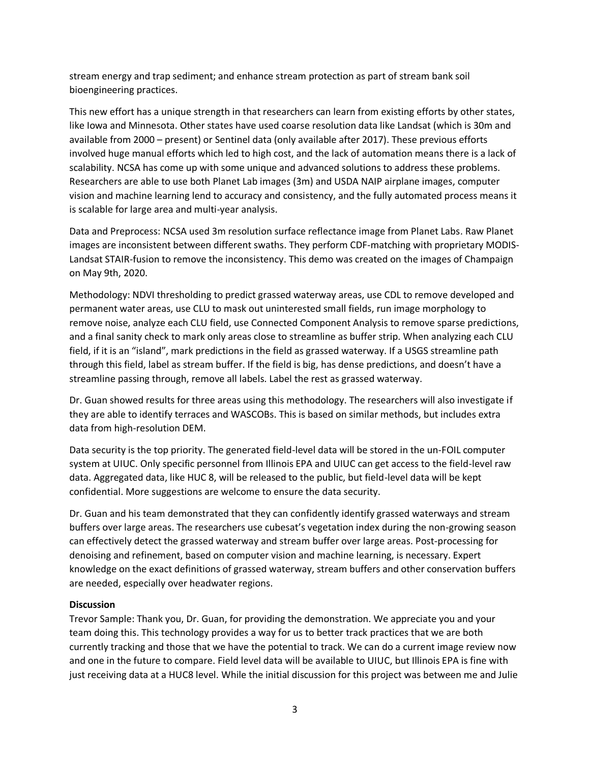stream energy and trap sediment; and enhance stream protection as part of stream bank soil bioengineering practices.

This new effort has a unique strength in that researchers can learn from existing efforts by other states, like Iowa and Minnesota. Other states have used coarse resolution data like Landsat (which is 30m and available from 2000 – present) or Sentinel data (only available after 2017). These previous efforts involved huge manual efforts which led to high cost, and the lack of automation means there is a lack of scalability. NCSA has come up with some unique and advanced solutions to address these problems. Researchers are able to use both Planet Lab images (3m) and USDA NAIP airplane images, computer vision and machine learning lend to accuracy and consistency, and the fully automated process means it is scalable for large area and multi-year analysis.

Data and Preprocess: NCSA used 3m resolution surface reflectance image from Planet Labs. Raw Planet images are inconsistent between different swaths. They perform CDF-matching with proprietary MODIS-Landsat STAIR-fusion to remove the inconsistency. This demo was created on the images of Champaign on May 9th, 2020.

Methodology: NDVI thresholding to predict grassed waterway areas, use CDL to remove developed and permanent water areas, use CLU to mask out uninterested small fields, run image morphology to remove noise, analyze each CLU field, use Connected Component Analysis to remove sparse predictions, and a final sanity check to mark only areas close to streamline as buffer strip. When analyzing each CLU field, if it is an "island", mark predictions in the field as grassed waterway. If a USGS streamline path through this field, label as stream buffer. If the field is big, has dense predictions, and doesn't have a streamline passing through, remove all labels. Label the rest as grassed waterway.

Dr. Guan showed results for three areas using this methodology. The researchers will also investigate if they are able to identify terraces and WASCOBs. This is based on similar methods, but includes extra data from high-resolution DEM.

Data security is the top priority. The generated field-level data will be stored in the un-FOIL computer system at UIUC. Only specific personnel from Illinois EPA and UIUC can get access to the field-level raw data. Aggregated data, like HUC 8, will be released to the public, but field-level data will be kept confidential. More suggestions are welcome to ensure the data security.

Dr. Guan and his team demonstrated that they can confidently identify grassed waterways and stream buffers over large areas. The researchers use cubesat's vegetation index during the non-growing season can effectively detect the grassed waterway and stream buffer over large areas. Post-processing for denoising and refinement, based on computer vision and machine learning, is necessary. Expert knowledge on the exact definitions of grassed waterway, stream buffers and other conservation buffers are needed, especially over headwater regions.

#### **Discussion**

Trevor Sample: Thank you, Dr. Guan, for providing the demonstration. We appreciate you and your team doing this. This technology provides a way for us to better track practices that we are both currently tracking and those that we have the potential to track. We can do a current image review now and one in the future to compare. Field level data will be available to UIUC, but Illinois EPA is fine with just receiving data at a HUC8 level. While the initial discussion for this project was between me and Julie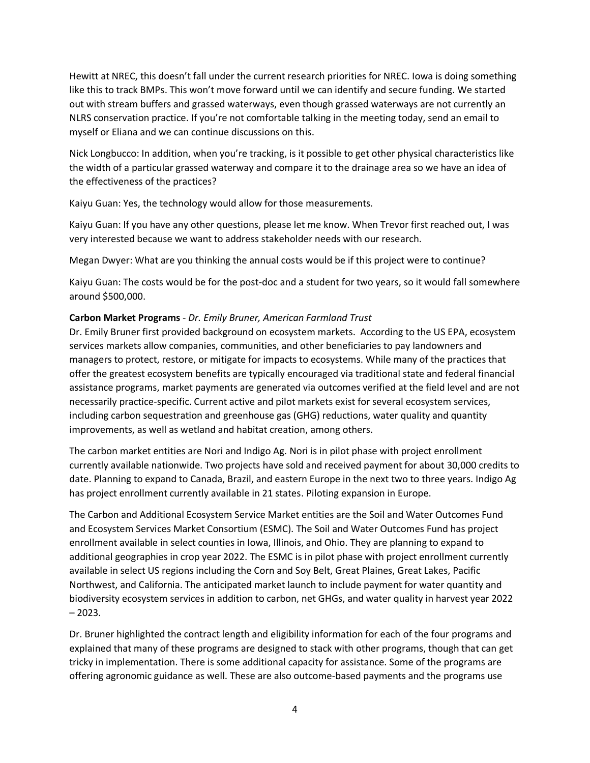Hewitt at NREC, this doesn't fall under the current research priorities for NREC. Iowa is doing something like this to track BMPs. This won't move forward until we can identify and secure funding. We started out with stream buffers and grassed waterways, even though grassed waterways are not currently an NLRS conservation practice. If you're not comfortable talking in the meeting today, send an email to myself or Eliana and we can continue discussions on this.

Nick Longbucco: In addition, when you're tracking, is it possible to get other physical characteristics like the width of a particular grassed waterway and compare it to the drainage area so we have an idea of the effectiveness of the practices?

Kaiyu Guan: Yes, the technology would allow for those measurements.

Kaiyu Guan: If you have any other questions, please let me know. When Trevor first reached out, I was very interested because we want to address stakeholder needs with our research.

Megan Dwyer: What are you thinking the annual costs would be if this project were to continue?

Kaiyu Guan: The costs would be for the post-doc and a student for two years, so it would fall somewhere around \$500,000.

#### **Carbon Market Programs** - *Dr. Emily Bruner, American Farmland Trust*

Dr. Emily Bruner first provided background on ecosystem markets. According to the US EPA, ecosystem services markets allow companies, communities, and other beneficiaries to pay landowners and managers to protect, restore, or mitigate for impacts to ecosystems. While many of the practices that offer the greatest ecosystem benefits are typically encouraged via traditional state and federal financial assistance programs, market payments are generated via outcomes verified at the field level and are not necessarily practice-specific. Current active and pilot markets exist for several ecosystem services, including carbon sequestration and greenhouse gas (GHG) reductions, water quality and quantity improvements, as well as wetland and habitat creation, among others.

The carbon market entities are Nori and Indigo Ag. Nori is in pilot phase with project enrollment currently available nationwide. Two projects have sold and received payment for about 30,000 credits to date. Planning to expand to Canada, Brazil, and eastern Europe in the next two to three years. Indigo Ag has project enrollment currently available in 21 states. Piloting expansion in Europe.

The Carbon and Additional Ecosystem Service Market entities are the Soil and Water Outcomes Fund and Ecosystem Services Market Consortium (ESMC). The Soil and Water Outcomes Fund has project enrollment available in select counties in Iowa, Illinois, and Ohio. They are planning to expand to additional geographies in crop year 2022. The ESMC is in pilot phase with project enrollment currently available in select US regions including the Corn and Soy Belt, Great Plaines, Great Lakes, Pacific Northwest, and California. The anticipated market launch to include payment for water quantity and biodiversity ecosystem services in addition to carbon, net GHGs, and water quality in harvest year 2022  $-2023.$ 

Dr. Bruner highlighted the contract length and eligibility information for each of the four programs and explained that many of these programs are designed to stack with other programs, though that can get tricky in implementation. There is some additional capacity for assistance. Some of the programs are offering agronomic guidance as well. These are also outcome-based payments and the programs use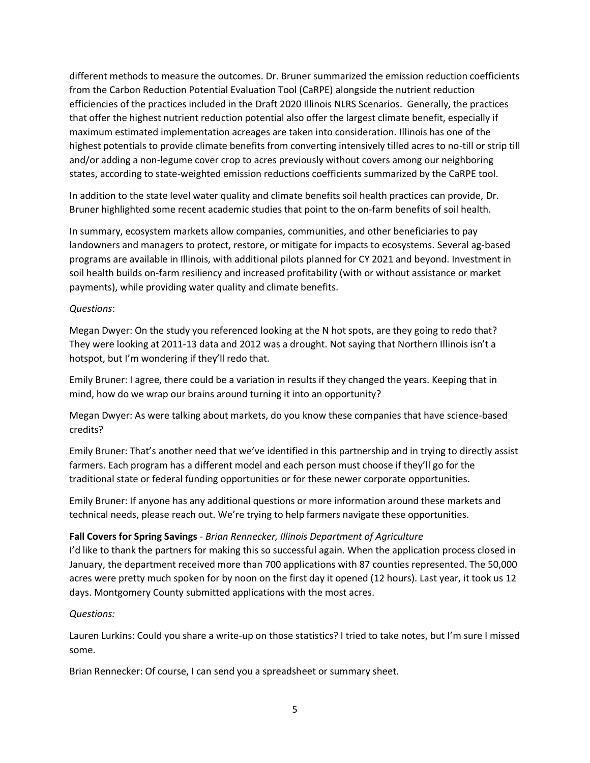different methods to measure the outcomes. Dr. Bruner summarized the emission reduction coefficients from the Carbon Reduction Potential Evaluation Tool (CaRPE) alongside the nutrient reduction efficiencies of the practices included in the Draft 2020 Illinois NLRS Scenarios. Generally, the practices that offer the highest nutrient reduction potential also offer the largest climate benefit, especially if maximum estimated implementation acreages are taken into consideration. Illinois has one of the highest potentials to provide climate benefits from converting intensively tilled acres to no-till or strip till and/or adding a non-legume cover crop to acres previously without covers among our neighboring states, according to state-weighted emission reductions coefficients summarized by the CaRPE tool.

In addition to the state level water quality and climate benefits soil health practices can provide, Dr. Bruner highlighted some recent academic studies that point to the on-farm benefits of soil health.

In summary, ecosystem markets allow companies, communities, and other beneficiaries to pay landowners and managers to protect, restore, or mitigate for impacts to ecosystems. Several ag-based programs are available in Illinois, with additional pilots planned for CY 2021 and beyond. Investment in soil health builds on-farm resiliency and increased profitability (with or without assistance or market payments), while providing water quality and climate benefits.

#### *Questions*:

Megan Dwyer: On the study you referenced looking at the N hot spots, are they going to redo that? They were looking at 2011-13 data and 2012 was a drought. Not saying that Northern Illinois isn't a hotspot, but I'm wondering if they'll redo that.

Emily Bruner: I agree, there could be a variation in results if they changed the years. Keeping that in mind, how do we wrap our brains around turning it into an opportunity?

Megan Dwyer: As were talking about markets, do you know these companies that have science-based credits?

Emily Bruner: That's another need that we've identified in this partnership and in trying to directly assist farmers. Each program has a different model and each person must choose if they'll go for the traditional state or federal funding opportunities or for these newer corporate opportunities.

Emily Bruner: If anyone has any additional questions or more information around these markets and technical needs, please reach out. We're trying to help farmers navigate these opportunities.

#### **Fall Covers for Spring Savings** - *Brian Rennecker, Illinois Department of Agriculture*

I'd like to thank the partners for making this so successful again. When the application process closed in January, the department received more than 700 applications with 87 counties represented. The 50,000 acres were pretty much spoken for by noon on the first day it opened (12 hours). Last year, it took us 12 days. Montgomery County submitted applications with the most acres.

#### *Questions:*

Lauren Lurkins: Could you share a write-up on those statistics? I tried to take notes, but I'm sure I missed some.

Brian Rennecker: Of course, I can send you a spreadsheet or summary sheet.